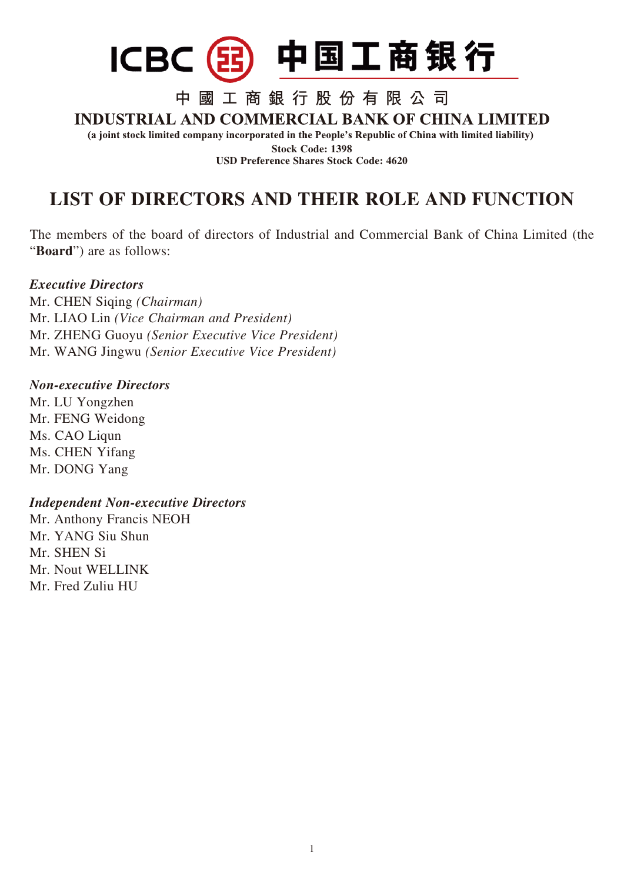

## 中國工商銀行股份有限公司

### **INDUSTRIAL AND COMMERCIAL BANK OF CHINA LIMITED**

(a joint stock limited company incorporated in the People's Republic of China with limited liability) **Stock Code: 1398**

**USD Preference Shares Stock Code: 4620**

# **LIST OF DIRECTORS AND THEIR ROLE AND FUNCTION**

The members of the board of directors of Industrial and Commercial Bank of China Limited (the "**Board**") are as follows:

#### *Executive Directors*

Mr. CHEN Siqing *(Chairman)* Mr. LIAO Lin *(Vice Chairman and President)* Mr. ZHENG Guoyu *(Senior Executive Vice President)* Mr. WANG Jingwu *(Senior Executive Vice President)*

#### *Non-executive Directors*

Mr. LU Yongzhen Mr. FENG Weidong Ms. CAO Liqun Ms. CHEN Yifang Mr. DONG Yang

#### *Independent Non-executive Directors*

Mr. Anthony Francis NEOH Mr. YANG Siu Shun Mr. SHEN Si Mr. Nout WELLINK Mr. Fred Zuliu HU